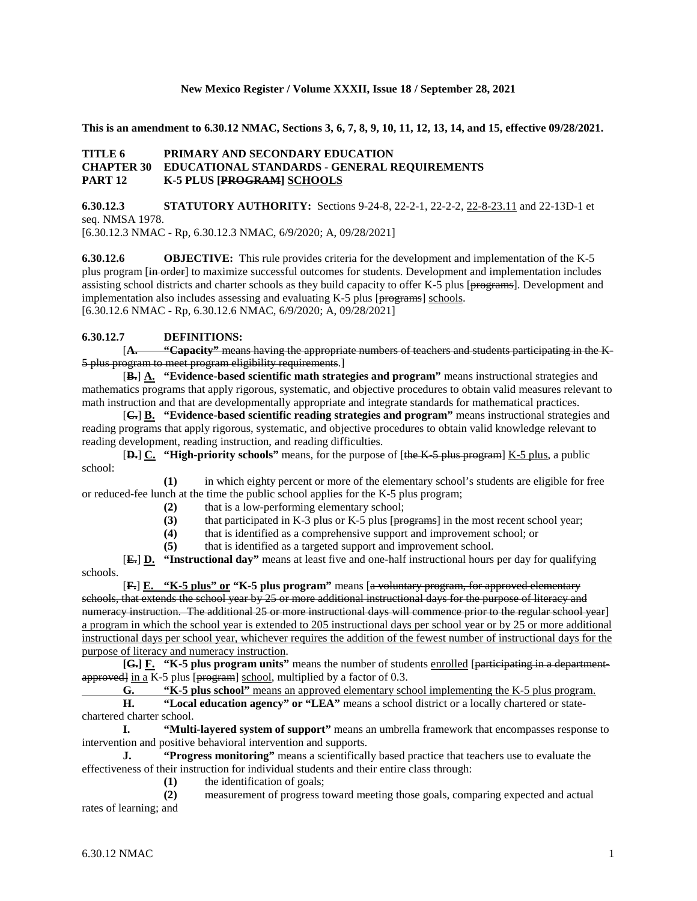#### **New Mexico Register / Volume XXXII, Issue 18 / September 28, 2021**

**This is an amendment to 6.30.12 NMAC, Sections 3, 6, 7, 8, 9, 10, 11, 12, 13, 14, and 15, effective 09/28/2021.**

## **TITLE 6 PRIMARY AND SECONDARY EDUCATION CHAPTER 30 EDUCATIONAL STANDARDS - GENERAL REQUIREMENTS PART 12 K-5 PLUS [PROGRAM] SCHOOLS**

**6.30.12.3 STATUTORY AUTHORITY:** Sections 9-24-8, 22-2-1, 22-2-2, 22-8-23.11 and 22-13D-1 et seq. NMSA 1978.

[6.30.12.3 NMAC - Rp, 6.30.12.3 NMAC, 6/9/2020; A, 09/28/2021]

**6.30.12.6 OBJECTIVE:** This rule provides criteria for the development and implementation of the K-5 plus program [in order] to maximize successful outcomes for students. Development and implementation includes assisting school districts and charter schools as they build capacity to offer K-5 plus [programs]. Development and implementation also includes assessing and evaluating  $K-5$  plus [ $pregrame$ ] schools. [6.30.12.6 NMAC - Rp, 6.30.12.6 NMAC, 6/9/2020; A, 09/28/2021]

## **6.30.12.7 DEFINITIONS:**

[**A. "Capacity"** means having the appropriate numbers of teachers and students participating in the K-5 plus program to meet program eligibility requirements.]

[**B.**] **A. "Evidence-based scientific math strategies and program"** means instructional strategies and mathematics programs that apply rigorous, systematic, and objective procedures to obtain valid measures relevant to math instruction and that are developmentally appropriate and integrate standards for mathematical practices.

[**C.**] **B. "Evidence-based scientific reading strategies and program"** means instructional strategies and reading programs that apply rigorous, systematic, and objective procedures to obtain valid knowledge relevant to reading development, reading instruction, and reading difficulties.

[**D.**] **C. "High-priority schools"** means, for the purpose of [the K-5 plus program] K-5 plus, a public school:

**(1)** in which eighty percent or more of the elementary school's students are eligible for free or reduced-fee lunch at the time the public school applies for the K-5 plus program;

- **(2)** that is a low-performing elementary school;
- (3) that participated in K-3 plus or K-5 plus [ $pregrams$ ] in the most recent school year;<br>(4) that is identified as a comprehensive support and improvement school; or
- **(4)** that is identified as a comprehensive support and improvement school; or

**(5)** that is identified as a targeted support and improvement school.

[**E.**] **D. "Instructional day"** means at least five and one-half instructional hours per day for qualifying schools.

[**F.**] **E. "K-5 plus" or "K-5 plus program"** means [a voluntary program, for approved elementary schools, that extends the school year by 25 or more additional instructional days for the purpose of literacy and numeracy instruction. The additional 25 or more instructional days will commence prior to the regular school year] a program in which the school year is extended to 205 instructional days per school year or by 25 or more additional instructional days per school year, whichever requires the addition of the fewest number of instructional days for the purpose of literacy and numeracy instruction.

**[G.] F. "K-5 plus program units"** means the number of students enrolled [participating in a departmentapproved in a K-5 plus [program] school, multiplied by a factor of 0.3.

**G. "K-5 plus school"** means an approved elementary school implementing the K-5 plus program.

**H. "Local education agency" or "LEA"** means a school district or a locally chartered or statechartered charter school.

**I. "Multi-layered system of support"** means an umbrella framework that encompasses response to intervention and positive behavioral intervention and supports.

**J. "Progress monitoring"** means a scientifically based practice that teachers use to evaluate the effectiveness of their instruction for individual students and their entire class through:

**(1)** the identification of goals;

**(2)** measurement of progress toward meeting those goals, comparing expected and actual rates of learning; and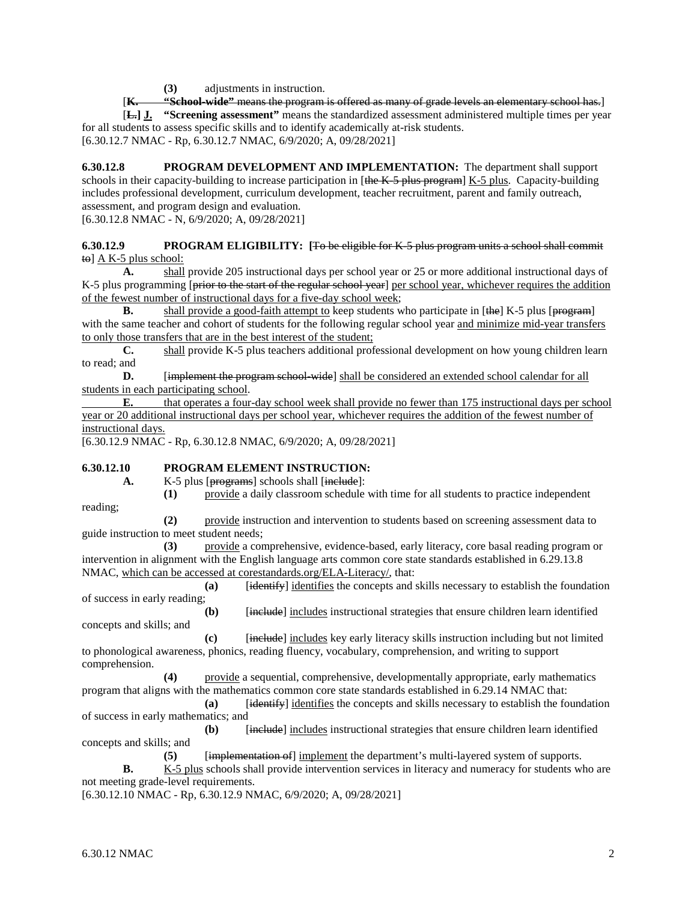**(3)** adjustments in instruction.

[**K. "School-wide"** means the program is offered as many of grade levels an elementary school has.] [**L.] J. "Screening assessment"** means the standardized assessment administered multiple times per year for all students to assess specific skills and to identify academically at-risk students.

[6.30.12.7 NMAC - Rp, 6.30.12.7 NMAC, 6/9/2020; A, 09/28/2021]

**6.30.12.8 PROGRAM DEVELOPMENT AND IMPLEMENTATION:** The department shall support schools in their capacity-building to increase participation in [the K-5 plus program] K-5 plus. Capacity-building includes professional development, curriculum development, teacher recruitment, parent and family outreach, assessment, and program design and evaluation. [6.30.12.8 NMAC - N, 6/9/2020; A, 09/28/2021]

#### **6.30.12.9 PROGRAM ELIGIBILITY: [**To be eligible for K-5 plus program units a school shall commit  $\uparrow$  +  $\uparrow$  A K-5 plus school:

**A.** shall provide 205 instructional days per school year or 25 or more additional instructional days of K-5 plus programming [prior to the start of the regular school year] per school year, whichever requires the addition of the fewest number of instructional days for a five-day school week;

**B.** shall provide a good-faith attempt to keep students who participate in [the] K-5 plus [program] with the same teacher and cohort of students for the following regular school year and minimize mid-year transfers to only those transfers that are in the best interest of the student;

**C.** shall provide K-5 plus teachers additional professional development on how young children learn to read; and

**D.** [implement the program school-wide] shall be considered an extended school calendar for all students in each participating school.

**E.** that operates a four-day school week shall provide no fewer than 175 instructional days per school year or 20 additional instructional days per school year, whichever requires the addition of the fewest number of instructional days.

[6.30.12.9 NMAC - Rp, 6.30.12.8 NMAC, 6/9/2020; A, 09/28/2021]

## **6.30.12.10 PROGRAM ELEMENT INSTRUCTION:**

A. K-5 plus [programs] schools shall [include]:

reading;

**(2)** provide instruction and intervention to students based on screening assessment data to guide instruction to meet student needs;

**(1)** provide a daily classroom schedule with time for all students to practice independent

**(3)** provide a comprehensive, evidence-based, early literacy, core basal reading program or intervention in alignment with the English language arts common core state standards established in 6.29.13.8 NMAC, which can be accessed at corestandards.org/ELA-Literacy/, that:

**(a)** [identify] identifies the concepts and skills necessary to establish the foundation of success in early reading;

**(b)** [include] includes instructional strategies that ensure children learn identified concepts and skills; and

**(c)** [include] includes key early literacy skills instruction including but not limited to phonological awareness, phonics, reading fluency, vocabulary, comprehension, and writing to support comprehension.

**(4)** provide a sequential, comprehensive, developmentally appropriate, early mathematics program that aligns with the mathematics common core state standards established in 6.29.14 NMAC that:

**(a)** [identify] identifies the concepts and skills necessary to establish the foundation of success in early mathematics; and

**(b)** [include] includes instructional strategies that ensure children learn identified concepts and skills; and

**(5)** [implementation of] implement the department's multi-layered system of supports.

**B.** K-5 plus schools shall provide intervention services in literacy and numeracy for students who are not meeting grade-level requirements.

[6.30.12.10 NMAC - Rp, 6.30.12.9 NMAC, 6/9/2020; A, 09/28/2021]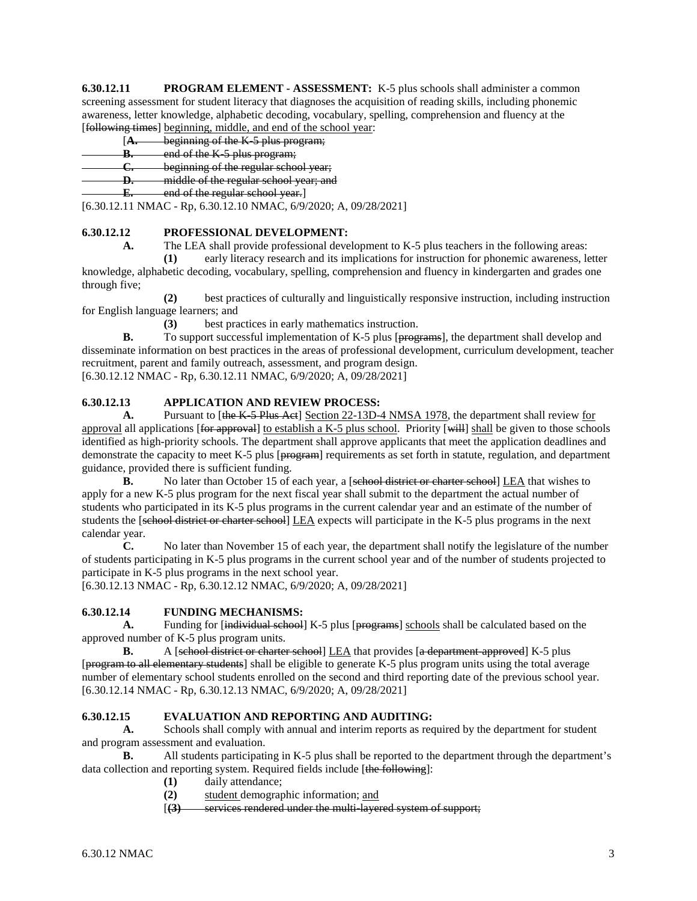**6.30.12.11 PROGRAM ELEMENT - ASSESSMENT:** K-5 plus schools shall administer a common screening assessment for student literacy that diagnoses the acquisition of reading skills, including phonemic awareness, letter knowledge, alphabetic decoding, vocabulary, spelling, comprehension and fluency at the [following times] beginning, middle, and end of the school year:

#### [**A.** beginning of the K-5 plus program;

- **B.** end of the K-5 plus program;
- **C.** beginning of the regular school year;
- **D.** middle of the regular school year; and
- **E.** end of the regular school year.]

[6.30.12.11 NMAC - Rp, 6.30.12.10 NMAC, 6/9/2020; A, 09/28/2021]

## **6.30.12.12 PROFESSIONAL DEVELOPMENT:**

**A.** The LEA shall provide professional development to K-5 plus teachers in the following areas:

**(1)** early literacy research and its implications for instruction for phonemic awareness, letter knowledge, alphabetic decoding, vocabulary, spelling, comprehension and fluency in kindergarten and grades one through five;

**(2)** best practices of culturally and linguistically responsive instruction, including instruction for English language learners; and

**(3)** best practices in early mathematics instruction.

**B.** To support successful implementation of K-5 plus [programs], the department shall develop and disseminate information on best practices in the areas of professional development, curriculum development, teacher recruitment, parent and family outreach, assessment, and program design.

[6.30.12.12 NMAC - Rp, 6.30.12.11 NMAC, 6/9/2020; A, 09/28/2021]

# **6.30.12.13 APPLICATION AND REVIEW PROCESS:**

A. Pursuant to [the K-5 Plus Act] Section 22-13D-4 NMSA 1978, the department shall review for approval all applications [for approval] to establish a K-5 plus school. Priority [will] shall be given to those schools identified as high-priority schools. The department shall approve applicants that meet the application deadlines and demonstrate the capacity to meet K-5 plus [program] requirements as set forth in statute, regulation, and department guidance, provided there is sufficient funding.

**B.** No later than October 15 of each year, a [sehool district or charter school] LEA that wishes to apply for a new K-5 plus program for the next fiscal year shall submit to the department the actual number of students who participated in its K-5 plus programs in the current calendar year and an estimate of the number of students the [sehool district or charter school] LEA expects will participate in the K-5 plus programs in the next calendar year.

**C.** No later than November 15 of each year, the department shall notify the legislature of the number of students participating in K-5 plus programs in the current school year and of the number of students projected to participate in K-5 plus programs in the next school year.

[6.30.12.13 NMAC - Rp, 6.30.12.12 NMAC, 6/9/2020; A, 09/28/2021]

## **6.30.12.14 FUNDING MECHANISMS:**

**A.** Funding for [individual school] K-5 plus [programs] schools shall be calculated based on the approved number of K-5 plus program units.

**B.** A [school district or charter school] LEA that provides [a department approved] K-5 plus [program to all elementary students] shall be eligible to generate K-5 plus program units using the total average number of elementary school students enrolled on the second and third reporting date of the previous school year. [6.30.12.14 NMAC - Rp, 6.30.12.13 NMAC, 6/9/2020; A, 09/28/2021]

# **6.30.12.15 EVALUATION AND REPORTING AND AUDITING:**

**A.** Schools shall comply with annual and interim reports as required by the department for student and program assessment and evaluation.

**B.** All students participating in K-5 plus shall be reported to the department through the department's data collection and reporting system. Required fields include [the following]:

- **(1)** daily attendance;
- **(2)** student demographic information; and
- [**(3)** services rendered under the multi-layered system of support;